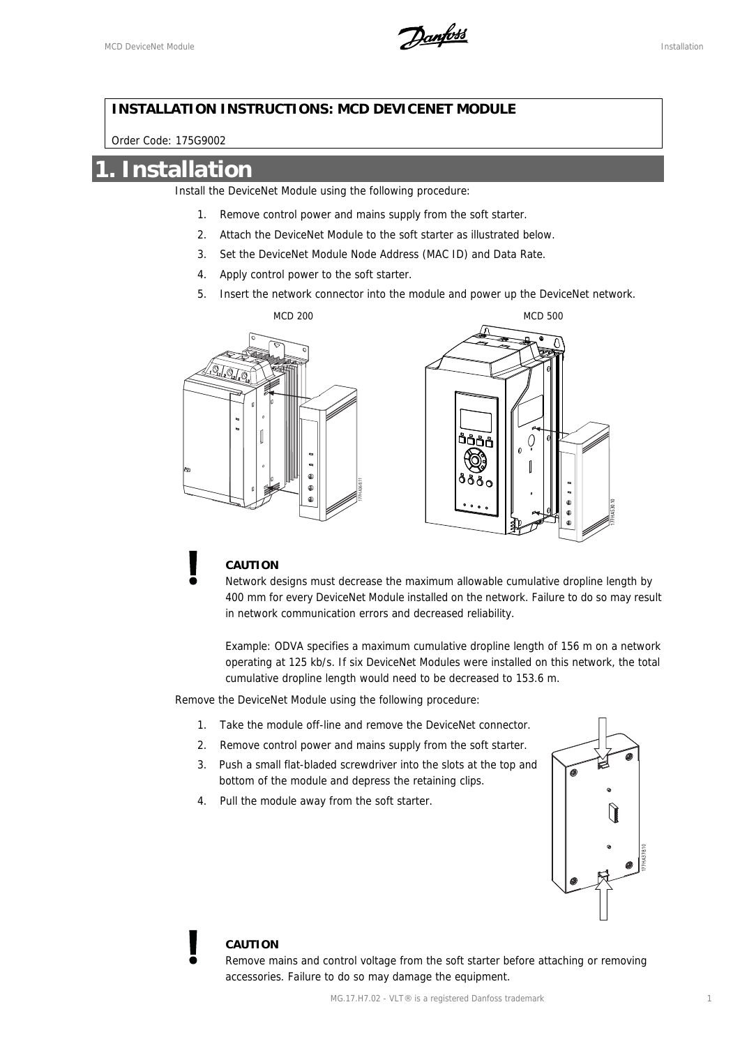

#### **INSTALLATION INSTRUCTIONS: MCD DEVICENET MODULE**

Order Code: 175G9002

### **1. Installation**

Install the DeviceNet Module using the following procedure:

- 1. Remove control power and mains supply from the soft starter.
- 2. Attach the DeviceNet Module to the soft starter as illustrated below.
- 3. Set the DeviceNet Module Node Address (MAC ID) and Data Rate.
- 4. Apply control power to the soft starter.
- 5. Insert the network connector into the module and power up the DeviceNet network.





### **CAUTION**

Network designs must decrease the maximum allowable cumulative dropline length by 400 mm for every DeviceNet Module installed on the network. Failure to do so may result in network communication errors and decreased reliability.

Example: ODVA specifies a maximum cumulative dropline length of 156 m on a network operating at 125 kb/s. If six DeviceNet Modules were installed on this network, the total cumulative dropline length would need to be decreased to 153.6 m.

Remove the DeviceNet Module using the following procedure:

- 1. Take the module off-line and remove the DeviceNet connector.
- 2. Remove control power and mains supply from the soft starter.
- 3. Push a small flat-bladed screwdriver into the slots at the top and bottom of the module and depress the retaining clips.
- 4. Pull the module away from the soft starter.



#### **CAUTION**

Remove mains and control voltage from the soft starter before attaching or removing accessories. Failure to do so may damage the equipment.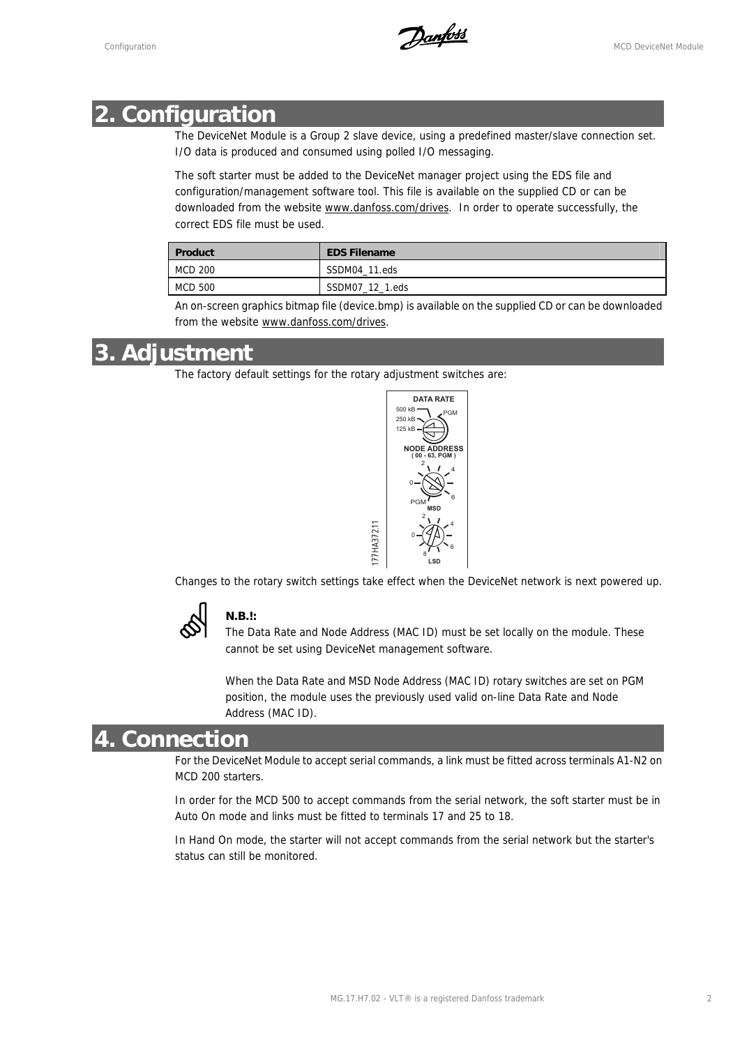Configuration MCD DeviceNet Module

## **2. Configuration**

The DeviceNet Module is a Group 2 slave device, using a predefined master/slave connection set. I/O data is produced and consumed using polled I/O messaging.

The soft starter must be added to the DeviceNet manager project using the EDS file and configuration/management software tool. This file is available on the supplied CD or can be downloaded from the website www.danfoss.com/drives. In order to operate successfully, the correct EDS file must be used.

| <b>Product</b> | <b>EDS Filename</b> |
|----------------|---------------------|
| MCD 200        | SSDM04 11.eds       |
| MCD 500        | SSDM07_12_1.eds     |

An on-screen graphics bitmap file (device.bmp) is available on the supplied CD or can be downloaded from the website www.danfoss.com/drives.

### **3. Adjustment**

The factory default settings for the rotary adjustment switches are:



Changes to the rotary switch settings take effect when the DeviceNet network is next powered up.

-77HA372.11



### **N.B.!:**

The Data Rate and Node Address (MAC ID) must be set locally on the module. These cannot be set using DeviceNet management software.

When the Data Rate and MSD Node Address (MAC ID) rotary switches are set on PGM position, the module uses the previously used valid on-line Data Rate and Node Address (MAC ID).

## **4. Connection**

For the DeviceNet Module to accept serial commands, a link must be fitted across terminals A1-N2 on MCD 200 starters.

In order for the MCD 500 to accept commands from the serial network, the soft starter must be in Auto On mode and links must be fitted to terminals 17 and 25 to 18.

In Hand On mode, the starter will not accept commands from the serial network but the starter's status can still be monitored.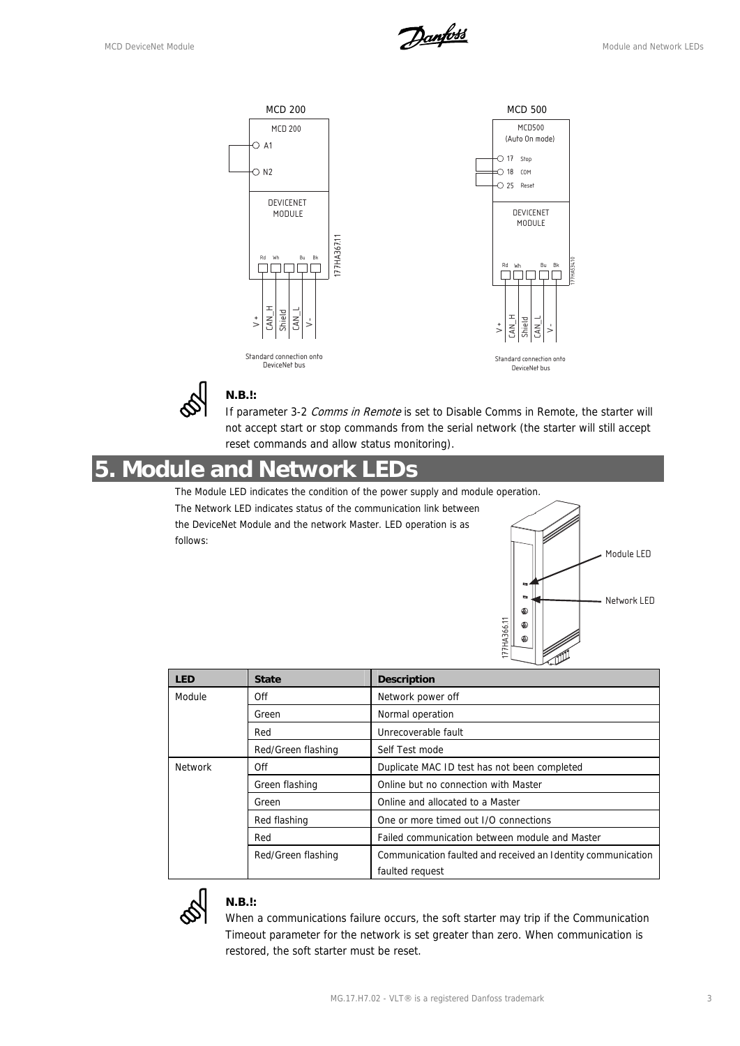



#### **N.B.!:**

If parameter 3-2 Comms in Remote is set to Disable Comms in Remote, the starter will not accept start or stop commands from the serial network (the starter will still accept reset commands and allow status monitoring).

## **5. Module and Network LEDs**

The Module LED indicates the condition of the power supply and module operation. The Network LED indicates status of the communication link between the DeviceNet Module and the network Master. LED operation is as follows:



| <b>LED</b>     | <b>State</b>       | <b>Description</b>                                           |  |
|----------------|--------------------|--------------------------------------------------------------|--|
| Module         | Off                | Network power off                                            |  |
|                | Green              | Normal operation                                             |  |
|                | Red                | Unrecoverable fault                                          |  |
|                | Red/Green flashing | Self Test mode                                               |  |
| <b>Network</b> | Off                | Duplicate MAC ID test has not been completed                 |  |
|                | Green flashing     | Online but no connection with Master                         |  |
|                | Green              | Online and allocated to a Master                             |  |
|                | Red flashing       | One or more timed out I/O connections                        |  |
|                | Red                | Failed communication between module and Master               |  |
|                | Red/Green flashing | Communication faulted and received an Identity communication |  |
|                |                    | faulted request                                              |  |



#### **N.B.!:**

When a communications failure occurs, the soft starter may trip if the Communication Timeout parameter for the network is set greater than zero. When communication is restored, the soft starter must be reset.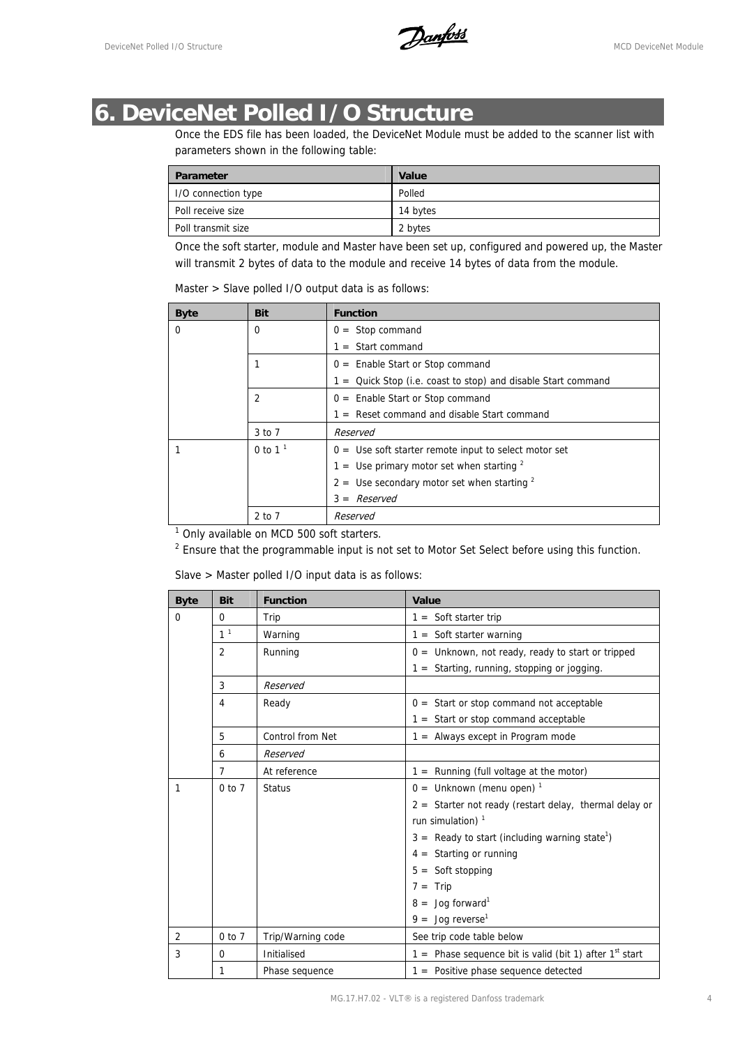DeviceNet Polled I/O Structure **Contract Contract Contract Contract Contract Contract Contract Contract Contract Module** 

## **6. DeviceNet Polled I/O Structure**

Once the EDS file has been loaded, the DeviceNet Module must be added to the scanner list with parameters shown in the following table:

| Parameter           | Value    |
|---------------------|----------|
| I/O connection type | Polled   |
| Poll receive size   | 14 bytes |
| Poll transmit size  | 2 bytes  |

Once the soft starter, module and Master have been set up, configured and powered up, the Master will transmit 2 bytes of data to the module and receive 14 bytes of data from the module.

|  | Master > Slave polled I/O output data is as follows: |  |  |  |
|--|------------------------------------------------------|--|--|--|
|--|------------------------------------------------------|--|--|--|

| <b>Byte</b> | Bit            | <b>Function</b>                                                 |
|-------------|----------------|-----------------------------------------------------------------|
| $\Omega$    | $\Omega$       | $0 =$ Stop command                                              |
|             |                | $1 =$ Start command                                             |
|             |                | $0 =$ Enable Start or Stop command                              |
|             |                | $1 =$ Quick Stop (i.e. coast to stop) and disable Start command |
|             | $\mathfrak{p}$ | $0 =$ Enable Start or Stop command                              |
|             |                | $1 =$ Reset command and disable Start command                   |
|             | $3$ to $7$     | Reserved                                                        |
|             | 0 to $11$      | $0 =$ Use soft starter remote input to select motor set         |
|             |                | $1 =$ Use primary motor set when starting $2$                   |
|             |                | $2 =$ Use secondary motor set when starting $2$                 |
|             |                | $3 =$ Reserved                                                  |
|             | 2 to 7         | Reserved                                                        |

<sup>1</sup> Only available on MCD 500 soft starters.

 $2$  Ensure that the programmable input is not set to Motor Set Select before using this function.

Slave > Master polled I/O input data is as follows:

| <b>Byte</b>    | <b>Bit</b>     | <b>Function</b>   | Value                                                        |  |
|----------------|----------------|-------------------|--------------------------------------------------------------|--|
| $\Omega$       | 0              | Trip              | $1 =$ Soft starter trip                                      |  |
|                | 1 <sup>1</sup> | Warning           | $1 =$ Soft starter warning                                   |  |
|                | 2              | Running           | $0 =$ Unknown, not ready, ready to start or tripped          |  |
|                |                |                   | $1 =$ Starting, running, stopping or jogging.                |  |
|                | 3              | Reserved          |                                                              |  |
|                | 4              | Ready             | $0 =$ Start or stop command not acceptable                   |  |
|                |                |                   | $1 =$ Start or stop command acceptable                       |  |
|                | 5              | Control from Net  | $1 =$ Always except in Program mode                          |  |
|                | 6              | Reserved          |                                                              |  |
|                | $\overline{7}$ | At reference      | $1 =$ Running (full voltage at the motor)                    |  |
| $\mathbf{1}$   | $0$ to $7$     | <b>Status</b>     | $0 =$ Unknown (menu open) <sup>1</sup>                       |  |
|                |                |                   | $2 =$ Starter not ready (restart delay, thermal delay or     |  |
|                |                |                   | run simulation) $1$                                          |  |
|                |                |                   | $3 =$ Ready to start (including warning state <sup>1</sup> ) |  |
|                |                |                   | $4 =$ Starting or running                                    |  |
|                |                |                   | $5 =$ Soft stopping                                          |  |
|                |                |                   | $7 = Trip$                                                   |  |
|                |                |                   | $8 =$ Jog forward <sup>1</sup>                               |  |
|                |                |                   | $9 =$ Jog reverse <sup>1</sup>                               |  |
| $\overline{2}$ | $0$ to $7$     | Trip/Warning code | See trip code table below                                    |  |
| 3              | $\mathbf 0$    | Initialised       | 1 = Phase sequence bit is valid (bit 1) after $1^{st}$ start |  |
|                | 1              | Phase sequence    | $1 =$ Positive phase sequence detected                       |  |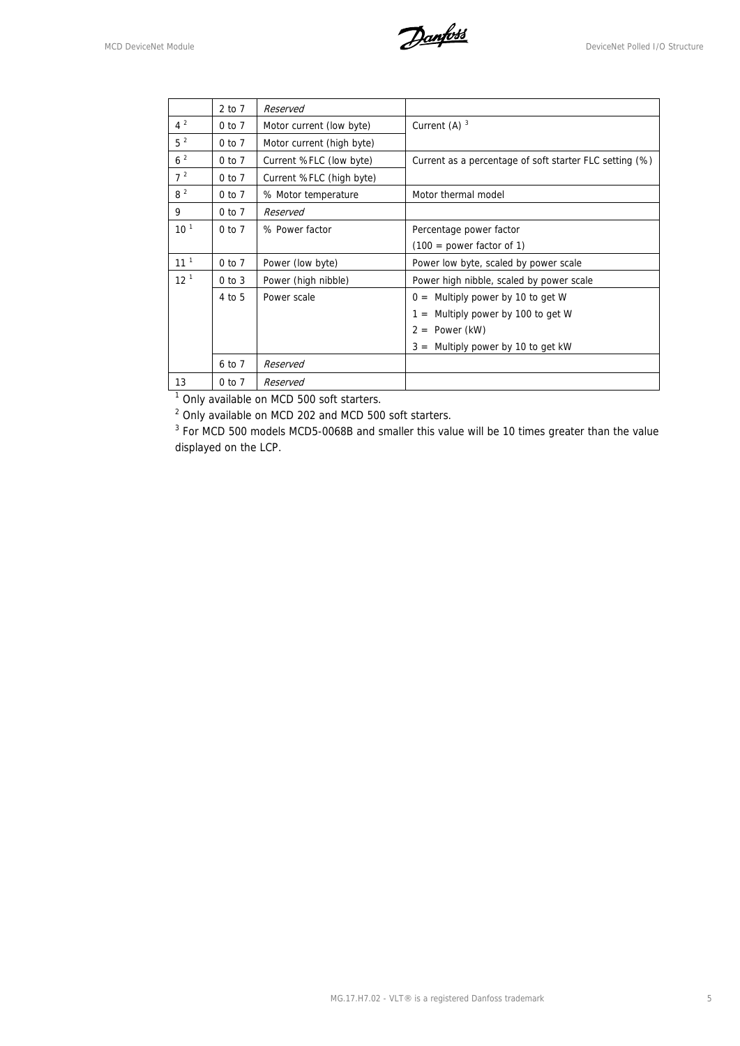MCD DeviceNet Module<br>
MCD DeviceNet Module

|                 | 2 to 7     | Reserved                  |                                                         |
|-----------------|------------|---------------------------|---------------------------------------------------------|
| $4^2$           | $0$ to $7$ | Motor current (low byte)  | Current (A) $3$                                         |
| $5^2$           | 0 to 7     | Motor current (high byte) |                                                         |
| 6 <sup>2</sup>  | $0$ to $7$ | Current %FLC (low byte)   | Current as a percentage of soft starter FLC setting (%) |
| $7^2$           | $0$ to $7$ | Current %FLC (high byte)  |                                                         |
| 8 <sup>2</sup>  | $0$ to $7$ | % Motor temperature       | Motor thermal model                                     |
| 9               | $0$ to $7$ | Reserved                  |                                                         |
| 10 <sup>1</sup> | $0$ to $7$ | % Power factor            | Percentage power factor                                 |
|                 |            |                           | $(100 = power factor of 1)$                             |
| 11 <sup>1</sup> | $0$ to $7$ | Power (low byte)          | Power low byte, scaled by power scale                   |
| 12 <sup>1</sup> | $0$ to $3$ | Power (high nibble)       | Power high nibble, scaled by power scale                |
|                 | $4$ to $5$ | Power scale               | Multiply power by 10 to get W<br>$0 =$                  |
|                 |            |                           | Multiply power by 100 to get W<br>$=$                   |
|                 |            |                           | Power (kW)<br>2<br>$=$                                  |
|                 |            |                           | $3 =$ Multiply power by 10 to get kW                    |
|                 | 6 to 7     | Reserved                  |                                                         |
| 13              | 0 to 7     | Reserved                  |                                                         |

<sup>1</sup> Only available on MCD 500 soft starters.

<sup>2</sup> Only available on MCD 202 and MCD 500 soft starters.

<sup>3</sup> For MCD 500 models MCD5-0068B and smaller this value will be 10 times greater than the value displayed on the LCP.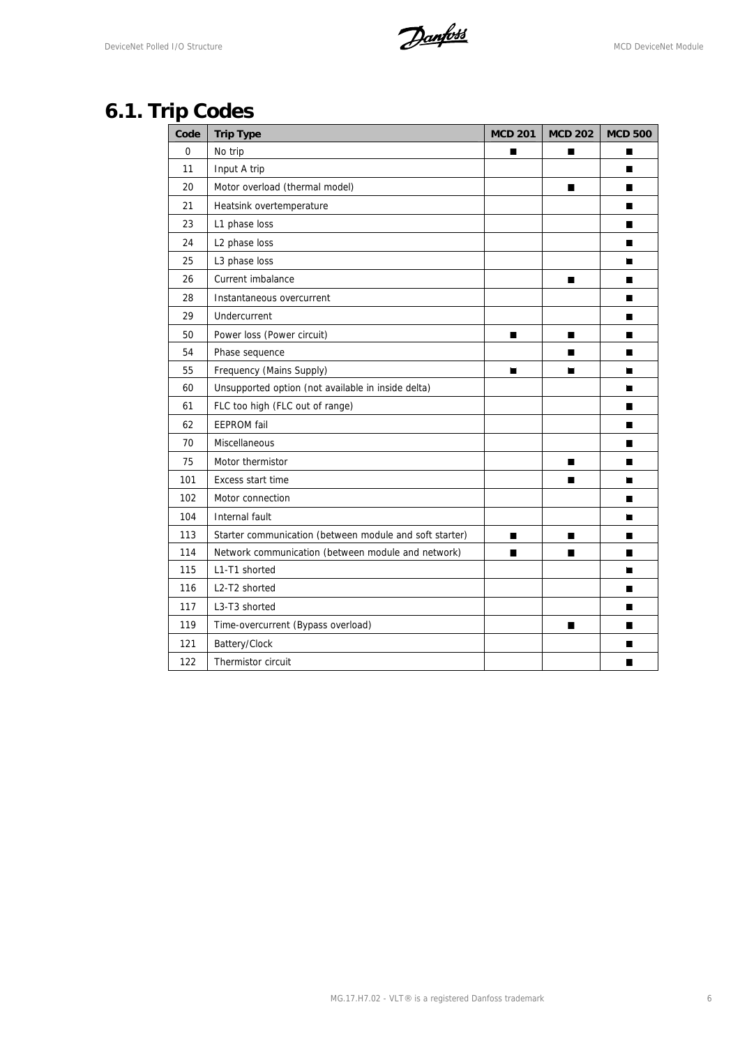DeviceNet Polled I/O Structure **Manual Construction** 

# **6.1. Trip Codes**

| Code     | <b>Trip Type</b>                                        | <b>MCD 201</b> | <b>MCD 202</b> | <b>MCD 500</b> |
|----------|---------------------------------------------------------|----------------|----------------|----------------|
| $\Omega$ | No trip                                                 | П              | П              | П              |
| 11       | Input A trip                                            |                |                | ■              |
| 20       | Motor overload (thermal model)                          |                | ■              | П              |
| 21       | Heatsink overtemperature                                |                |                | П              |
| 23       | L1 phase loss                                           |                |                | П              |
| 24       | L2 phase loss                                           |                |                | П              |
| 25       | L3 phase loss                                           |                |                | П              |
| 26       | Current imbalance                                       |                | П              | П              |
| 28       | Instantaneous overcurrent                               |                |                | ш              |
| 29       | Undercurrent                                            |                |                | П              |
| 50       | Power loss (Power circuit)                              | $\blacksquare$ | $\blacksquare$ | П              |
| 54       | Phase sequence                                          |                | П              | П              |
| 55       | Frequency (Mains Supply)                                | П              | П              | П              |
| 60       | Unsupported option (not available in inside delta)      |                |                | П              |
| 61       | FLC too high (FLC out of range)                         |                |                | П              |
| 62       | <b>EEPROM</b> fail                                      |                |                | ш              |
| 70       | Miscellaneous                                           |                |                | ■              |
| 75       | Motor thermistor                                        |                | П              | П              |
| 101      | Excess start time                                       |                | П              | П              |
| 102      | Motor connection                                        |                |                | П              |
| 104      | Internal fault                                          |                |                | П              |
| 113      | Starter communication (between module and soft starter) | П              | ■              | П              |
| 114      | Network communication (between module and network)      | П              | П              | П              |
| 115      | L1-T1 shorted                                           |                |                | П              |
| 116      | L2-T2 shorted                                           |                |                | П              |
| 117      | L3-T3 shorted                                           |                |                | П              |
| 119      | Time-overcurrent (Bypass overload)                      |                | П              | П              |
| 121      | Battery/Clock                                           |                |                | П              |
| 122      | Thermistor circuit                                      |                |                | ■              |